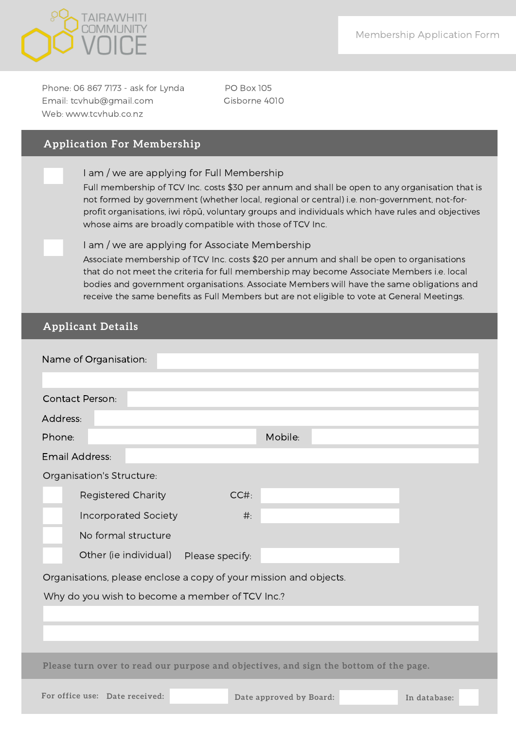

Phone: 06 867 7173 - ask for Lynda PO Box 105 Email: tcvhub@gmail.com Gisborne 4010 Web: www.tcvhub.co.nz

## **Application For Membership**

I am / we are applying for Full Membership

Full membership of TCV Inc. costs \$30 per annum and shall be open to any organisation that is not formed by government (whether local, regional or central) i.e. non-government, not-forprofit organisations, iwi rōpū, voluntary groups and individuals which have rules and objectives whose aims are broadly compatible with those of TCV Inc.

Associate membership of TCV Inc. costs \$20 per annum and shall be open to organisations that do not meet the criteria for full membership may become Associate Members i.e. local bodies and government organisations. Associate Members will have the same obligations and receive the same benefits as Full Members but are not eligible to vote at General Meetings. I am / we are applying for Associate Membership

# **Applicant Details**

| Name of Organisation:                                                                 |                                         |  |  |  |
|---------------------------------------------------------------------------------------|-----------------------------------------|--|--|--|
| <b>Contact Person:</b>                                                                |                                         |  |  |  |
| Address:                                                                              |                                         |  |  |  |
| Phone:                                                                                | Mobile:                                 |  |  |  |
| Email Address:                                                                        |                                         |  |  |  |
| Organisation's Structure:                                                             |                                         |  |  |  |
| <b>Registered Charity</b><br>CC#                                                      |                                         |  |  |  |
| <b>Incorporated Society</b><br>$#$ :                                                  |                                         |  |  |  |
| No formal structure                                                                   |                                         |  |  |  |
| Other (ie individual)<br>Please specify:                                              |                                         |  |  |  |
| Organisations, please enclose a copy of your mission and objects.                     |                                         |  |  |  |
| Why do you wish to become a member of TCV Inc.?                                       |                                         |  |  |  |
|                                                                                       |                                         |  |  |  |
|                                                                                       |                                         |  |  |  |
|                                                                                       |                                         |  |  |  |
| Please turn over to read our purpose and objectives, and sign the bottom of the page. |                                         |  |  |  |
| For office use: Date received:                                                        | Date approved by Board:<br>In database: |  |  |  |